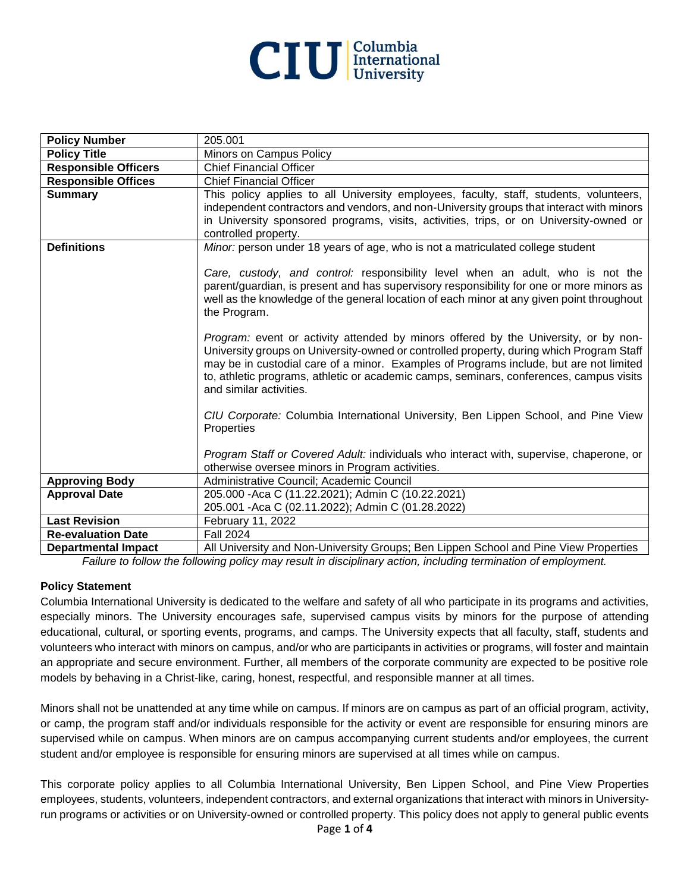

| <b>Policy Number</b>        | 205.001                                                                                                                                                                            |
|-----------------------------|------------------------------------------------------------------------------------------------------------------------------------------------------------------------------------|
| <b>Policy Title</b>         | Minors on Campus Policy                                                                                                                                                            |
| <b>Responsible Officers</b> | <b>Chief Financial Officer</b>                                                                                                                                                     |
| <b>Responsible Offices</b>  | <b>Chief Financial Officer</b>                                                                                                                                                     |
| <b>Summary</b>              | This policy applies to all University employees, faculty, staff, students, volunteers,                                                                                             |
|                             | independent contractors and vendors, and non-University groups that interact with minors                                                                                           |
|                             | in University sponsored programs, visits, activities, trips, or on University-owned or                                                                                             |
|                             | controlled property.                                                                                                                                                               |
| <b>Definitions</b>          | Minor: person under 18 years of age, who is not a matriculated college student                                                                                                     |
|                             |                                                                                                                                                                                    |
|                             | Care, custody, and control: responsibility level when an adult, who is not the                                                                                                     |
|                             | parent/guardian, is present and has supervisory responsibility for one or more minors as                                                                                           |
|                             | well as the knowledge of the general location of each minor at any given point throughout                                                                                          |
|                             | the Program.                                                                                                                                                                       |
|                             |                                                                                                                                                                                    |
|                             | Program: event or activity attended by minors offered by the University, or by non-                                                                                                |
|                             | University groups on University-owned or controlled property, during which Program Staff<br>may be in custodial care of a minor. Examples of Programs include, but are not limited |
|                             | to, athletic programs, athletic or academic camps, seminars, conferences, campus visits                                                                                            |
|                             | and similar activities.                                                                                                                                                            |
|                             |                                                                                                                                                                                    |
|                             | CIU Corporate: Columbia International University, Ben Lippen School, and Pine View                                                                                                 |
|                             | Properties                                                                                                                                                                         |
|                             |                                                                                                                                                                                    |
|                             | Program Staff or Covered Adult: individuals who interact with, supervise, chaperone, or                                                                                            |
|                             | otherwise oversee minors in Program activities.                                                                                                                                    |
| <b>Approving Body</b>       | Administrative Council; Academic Council                                                                                                                                           |
| <b>Approval Date</b>        | 205.000 - Aca C (11.22.2021); Admin C (10.22.2021)                                                                                                                                 |
|                             | 205.001 - Aca C (02.11.2022); Admin C (01.28.2022)                                                                                                                                 |
| <b>Last Revision</b>        | February 11, 2022                                                                                                                                                                  |
| <b>Re-evaluation Date</b>   | <b>Fall 2024</b>                                                                                                                                                                   |
| <b>Departmental Impact</b>  | All University and Non-University Groups; Ben Lippen School and Pine View Properties                                                                                               |

*Failure to follow the following policy may result in disciplinary action, including termination of employment.*

#### **Policy Statement**

Columbia International University is dedicated to the welfare and safety of all who participate in its programs and activities, especially minors. The University encourages safe, supervised campus visits by minors for the purpose of attending educational, cultural, or sporting events, programs, and camps. The University expects that all faculty, staff, students and volunteers who interact with minors on campus, and/or who are participants in activities or programs, will foster and maintain an appropriate and secure environment. Further, all members of the corporate community are expected to be positive role models by behaving in a Christ-like, caring, honest, respectful, and responsible manner at all times.

Minors shall not be unattended at any time while on campus. If minors are on campus as part of an official program, activity, or camp, the program staff and/or individuals responsible for the activity or event are responsible for ensuring minors are supervised while on campus. When minors are on campus accompanying current students and/or employees, the current student and/or employee is responsible for ensuring minors are supervised at all times while on campus.

This corporate policy applies to all Columbia International University, Ben Lippen School, and Pine View Properties employees, students, volunteers, independent contractors, and external organizations that interact with minors in Universityrun programs or activities or on University-owned or controlled property. This policy does not apply to general public events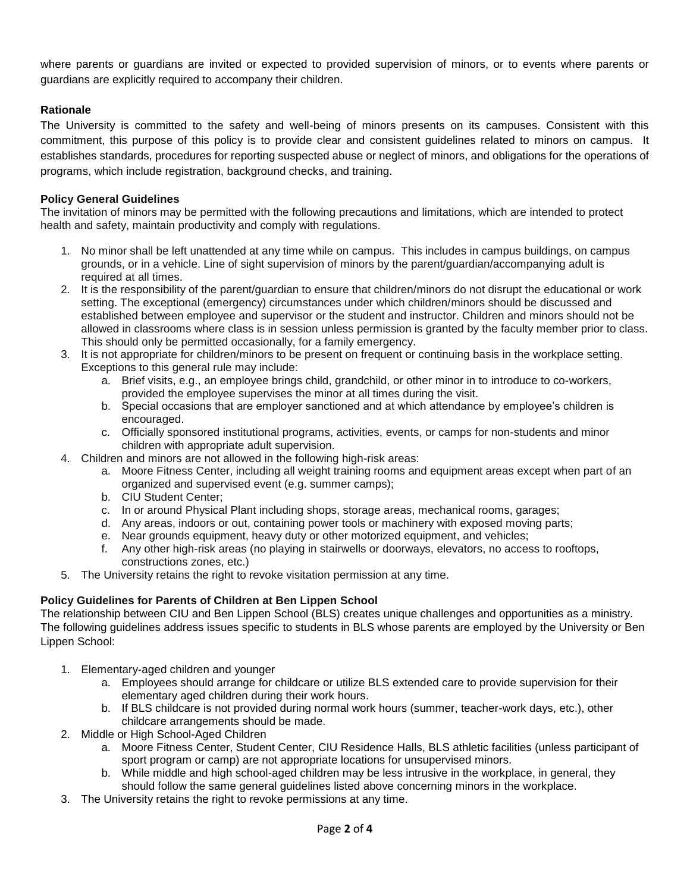where parents or guardians are invited or expected to provided supervision of minors, or to events where parents or guardians are explicitly required to accompany their children.

## **Rationale**

The University is committed to the safety and well-being of minors presents on its campuses. Consistent with this commitment, this purpose of this policy is to provide clear and consistent guidelines related to minors on campus. It establishes standards, procedures for reporting suspected abuse or neglect of minors, and obligations for the operations of programs, which include registration, background checks, and training.

#### **Policy General Guidelines**

The invitation of minors may be permitted with the following precautions and limitations, which are intended to protect health and safety, maintain productivity and comply with regulations.

- 1. No minor shall be left unattended at any time while on campus. This includes in campus buildings, on campus grounds, or in a vehicle. Line of sight supervision of minors by the parent/guardian/accompanying adult is required at all times.
- 2. It is the responsibility of the parent/guardian to ensure that children/minors do not disrupt the educational or work setting. The exceptional (emergency) circumstances under which children/minors should be discussed and established between employee and supervisor or the student and instructor. Children and minors should not be allowed in classrooms where class is in session unless permission is granted by the faculty member prior to class. This should only be permitted occasionally, for a family emergency.
- 3. It is not appropriate for children/minors to be present on frequent or continuing basis in the workplace setting. Exceptions to this general rule may include:
	- a. Brief visits, e.g., an employee brings child, grandchild, or other minor in to introduce to co-workers, provided the employee supervises the minor at all times during the visit.
	- b. Special occasions that are employer sanctioned and at which attendance by employee's children is encouraged.
	- c. Officially sponsored institutional programs, activities, events, or camps for non-students and minor children with appropriate adult supervision.
- 4. Children and minors are not allowed in the following high-risk areas:
	- a. Moore Fitness Center, including all weight training rooms and equipment areas except when part of an organized and supervised event (e.g. summer camps);
	- b. CIU Student Center;
	- c. In or around Physical Plant including shops, storage areas, mechanical rooms, garages;
	- d. Any areas, indoors or out, containing power tools or machinery with exposed moving parts;
	- e. Near grounds equipment, heavy duty or other motorized equipment, and vehicles;
	- f. Any other high-risk areas (no playing in stairwells or doorways, elevators, no access to rooftops, constructions zones, etc.)
- 5. The University retains the right to revoke visitation permission at any time.

## **Policy Guidelines for Parents of Children at Ben Lippen School**

The relationship between CIU and Ben Lippen School (BLS) creates unique challenges and opportunities as a ministry. The following guidelines address issues specific to students in BLS whose parents are employed by the University or Ben Lippen School:

- 1. Elementary-aged children and younger
	- a. Employees should arrange for childcare or utilize BLS extended care to provide supervision for their elementary aged children during their work hours.
	- b. If BLS childcare is not provided during normal work hours (summer, teacher-work days, etc.), other childcare arrangements should be made.
- 2. Middle or High School-Aged Children
	- a. Moore Fitness Center, Student Center, CIU Residence Halls, BLS athletic facilities (unless participant of sport program or camp) are not appropriate locations for unsupervised minors.
	- b. While middle and high school-aged children may be less intrusive in the workplace, in general, they should follow the same general guidelines listed above concerning minors in the workplace.
- 3. The University retains the right to revoke permissions at any time.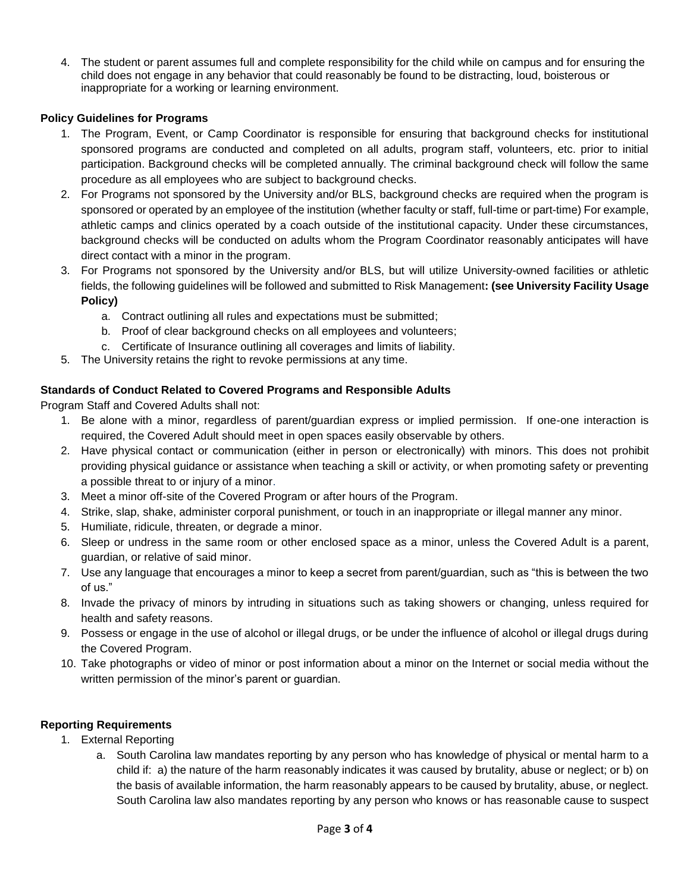4. The student or parent assumes full and complete responsibility for the child while on campus and for ensuring the child does not engage in any behavior that could reasonably be found to be distracting, loud, boisterous or inappropriate for a working or learning environment.

## **Policy Guidelines for Programs**

- 1. The Program, Event, or Camp Coordinator is responsible for ensuring that background checks for institutional sponsored programs are conducted and completed on all adults, program staff, volunteers, etc. prior to initial participation. Background checks will be completed annually. The criminal background check will follow the same procedure as all employees who are subject to background checks.
- 2. For Programs not sponsored by the University and/or BLS, background checks are required when the program is sponsored or operated by an employee of the institution (whether faculty or staff, full-time or part-time) For example, athletic camps and clinics operated by a coach outside of the institutional capacity. Under these circumstances, background checks will be conducted on adults whom the Program Coordinator reasonably anticipates will have direct contact with a minor in the program.
- 3. For Programs not sponsored by the University and/or BLS, but will utilize University-owned facilities or athletic fields, the following guidelines will be followed and submitted to Risk Management**: (see University Facility Usage Policy)**
	- a. Contract outlining all rules and expectations must be submitted;
	- b. Proof of clear background checks on all employees and volunteers;
	- c. Certificate of Insurance outlining all coverages and limits of liability.
- 5. The University retains the right to revoke permissions at any time.

## **Standards of Conduct Related to Covered Programs and Responsible Adults**

Program Staff and Covered Adults shall not:

- 1. Be alone with a minor, regardless of parent/guardian express or implied permission. If one-one interaction is required, the Covered Adult should meet in open spaces easily observable by others.
- 2. Have physical contact or communication (either in person or electronically) with minors. This does not prohibit providing physical guidance or assistance when teaching a skill or activity, or when promoting safety or preventing a possible threat to or injury of a minor.
- 3. Meet a minor off-site of the Covered Program or after hours of the Program.
- 4. Strike, slap, shake, administer corporal punishment, or touch in an inappropriate or illegal manner any minor.
- 5. Humiliate, ridicule, threaten, or degrade a minor.
- 6. Sleep or undress in the same room or other enclosed space as a minor, unless the Covered Adult is a parent, guardian, or relative of said minor.
- 7. Use any language that encourages a minor to keep a secret from parent/guardian, such as "this is between the two of us."
- 8. Invade the privacy of minors by intruding in situations such as taking showers or changing, unless required for health and safety reasons.
- 9. Possess or engage in the use of alcohol or illegal drugs, or be under the influence of alcohol or illegal drugs during the Covered Program.
- 10. Take photographs or video of minor or post information about a minor on the Internet or social media without the written permission of the minor's parent or guardian.

#### **Reporting Requirements**

- 1. External Reporting
	- a. South Carolina law mandates reporting by any person who has knowledge of physical or mental harm to a child if: a) the nature of the harm reasonably indicates it was caused by brutality, abuse or neglect; or b) on the basis of available information, the harm reasonably appears to be caused by brutality, abuse, or neglect. South Carolina law also mandates reporting by any person who knows or has reasonable cause to suspect